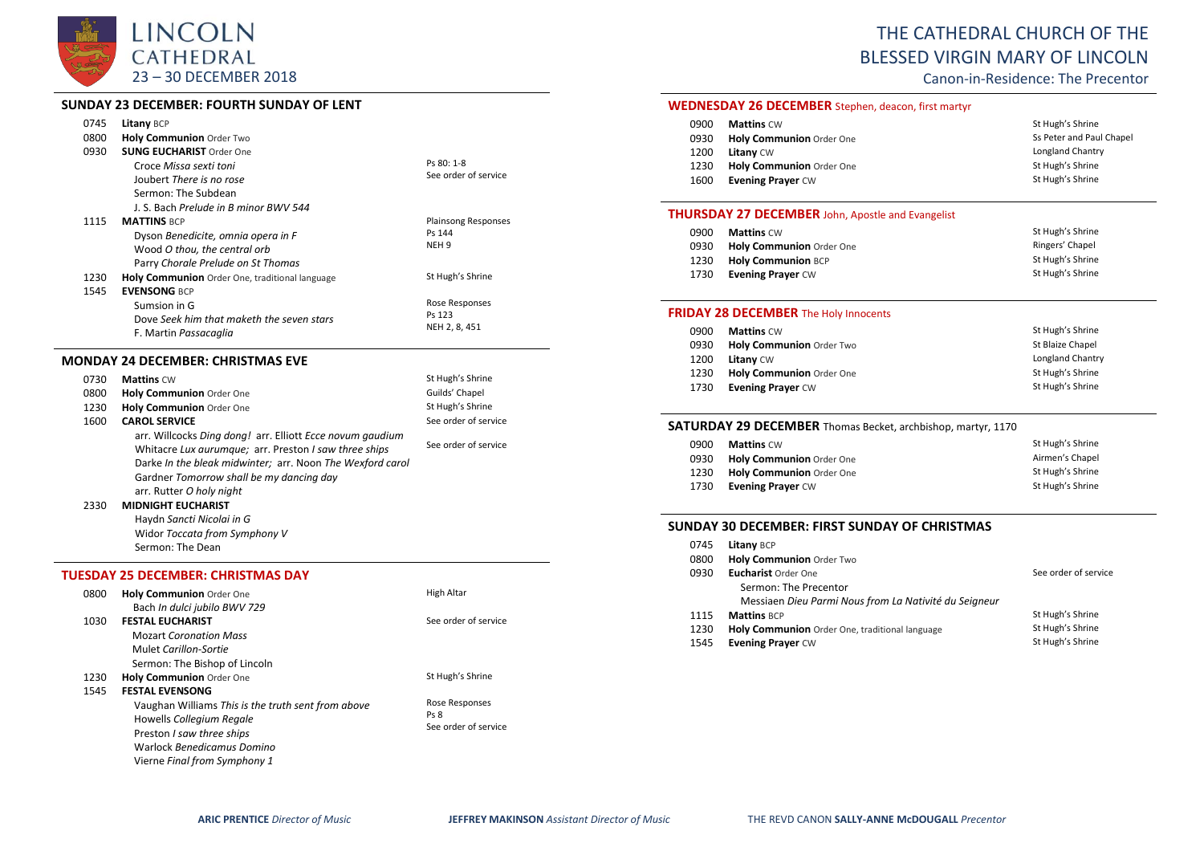

### **SUNDAY 23 DECEMBER: FOURTH SUNDAY OF LENT**

|      | SUNDAT Z3 DECEMBER: FOURTH SUNDAT OF LENT                 |                            |
|------|-----------------------------------------------------------|----------------------------|
| 0745 | <b>Litany BCP</b>                                         |                            |
| 0800 | Holy Communion Order Two                                  |                            |
| 0930 | <b>SUNG EUCHARIST Order One</b>                           |                            |
|      | Croce Missa sexti toni                                    | Ps 80: 1-8                 |
|      | Joubert There is no rose                                  | See order of service       |
|      | Sermon: The Subdean                                       |                            |
|      | J. S. Bach Prelude in B minor BWV 544                     |                            |
| 1115 | <b>MATTINS BCP</b>                                        | <b>Plainsong Responses</b> |
|      | Dyson Benedicite, omnia opera in F                        | Ps 144                     |
|      | Wood O thou, the central orb                              | NEH <sub>9</sub>           |
|      | Parry Chorale Prelude on St Thomas                        |                            |
| 1230 | Holy Communion Order One, traditional language            | St Hugh's Shrine           |
| 1545 | <b>EVENSONG BCP</b>                                       |                            |
|      | Sumsion in G                                              | Rose Responses             |
|      | Dove Seek him that maketh the seven stars                 | Ps 123                     |
|      | F. Martin Passacaglia                                     | NEH 2, 8, 451              |
|      | <b>MONDAY 24 DECEMBER: CHRISTMAS EVE</b>                  |                            |
| 0730 | <b>Mattins CW</b>                                         | St Hugh's Shrine           |
| 0800 | <b>Holy Communion Order One</b>                           | Guilds' Chapel             |
| 1230 | Holy Communion Order One                                  | St Hugh's Shrine           |
| 1600 | <b>CAROL SERVICE</b>                                      | See order of service       |
|      | arr. Willcocks Ding dong! arr. Elliott Ecce novum gaudium |                            |
|      | Whitacre Lux aurumque; arr. Preston I saw three ships     | See order of service       |
|      | Darke In the bleak midwinter; arr. Noon The Wexford carol |                            |

### arr. Rutter *O holy night*

2330 **MIDNIGHT EUCHARIST** Haydn *Sancti Nicolai in G* Widor *Toccata from Symphony V* Sermon: The Dean

Gardner *Tomorrow shall be my dancing day*

#### **TUESDAY 25 DECEMBER: CHRISTMAS DAY**

| 0800 | <b>Holy Communion Order One</b>                                                                                   | <b>High Altar</b>    |
|------|-------------------------------------------------------------------------------------------------------------------|----------------------|
| 1030 | Bach In dulci jubilo BWV 729<br><b>FESTAL EUCHARIST</b><br><b>Mozart Coronation Mass</b><br>Mulet Carillon-Sortie | See order of service |
|      | Sermon: The Bishop of Lincoln                                                                                     |                      |
| 1230 | <b>Holy Communion Order One</b>                                                                                   | St Hugh's Shrine     |
| 1545 | <b>FESTAL EVENSONG</b>                                                                                            |                      |
|      | Vaughan Williams This is the truth sent from above                                                                | Rose Responses       |
|      | Howells Collegium Regale                                                                                          | Ps 8                 |
|      | Preston I saw three ships                                                                                         | See order of service |
|      | Warlock Benedicamus Domino                                                                                        |                      |
|      | Vierne Final from Symphony 1                                                                                      |                      |

# THE CATHEDRAL CHURCH OF THE BLESSED VIRGIN MARY OF LINCOLN

Canon-in-Residence: The Precentor

#### **WEDNESDAY 26 DECEMBER** Stephen, deacon, first martyr

| 0900 | <b>Mattins CW</b>        | St Hugh's Shrine         |
|------|--------------------------|--------------------------|
| 0930 | Holy Communion Order One | Ss Peter and Paul Chapel |
| 1200 | <b>Litany CW</b>         | Longland Chantry         |
| 1230 | Holy Communion Order One | St Hugh's Shrine         |
| 1600 | <b>Evening Prayer CW</b> | St Hugh's Shrine         |

#### **THURSDAY 27 DECEMBER** John, Apostle and Evangelist

| 0900 | <b>Mattins CW</b>         | St Hugh's Shrine |
|------|---------------------------|------------------|
| 0930 | Holy Communion Order One  | Ringers' Chapel  |
| 1230 | <b>Holy Communion BCP</b> | St Hugh's Shrine |
| 1730 | <b>Evening Prayer CW</b>  | St Hugh's Shrine |

#### **FRIDAY 28 DECEMBER** The Holy Innocents

| 0900 | <b>Mattins CW</b>               | St Hugh's Shrine |
|------|---------------------------------|------------------|
| 0930 | Holy Communion Order Two        | St Blaize Chapel |
| 1200 | <b>Litany CW</b>                | Longland Chantry |
| 1230 | <b>Holy Communion Order One</b> | St Hugh's Shrine |
| 1730 | <b>Evening Prayer CW</b>        | St Hugh's Shrine |

#### **SATURDAY 29 DECEMBER** Thomas Becket, archbishop, martyr, 1170

| 0900 | <b>Mattins</b> CW               | St Hugh's Shrine |
|------|---------------------------------|------------------|
| 0930 | <b>Holy Communion Order One</b> | Airmen's Chapel  |
| 1230 | Holy Communion Order One        | St Hugh's Shrine |
| 1730 | <b>Evening Prayer CW</b>        | St Hugh's Shrine |

## **SUNDAY 30 DECEMBER: FIRST SUNDAY OF CHRISTMAS**

| See order of service |
|----------------------|
|                      |
|                      |
| St Hugh's Shrine     |
| St Hugh's Shrine     |
| St Hugh's Shrine     |
|                      |